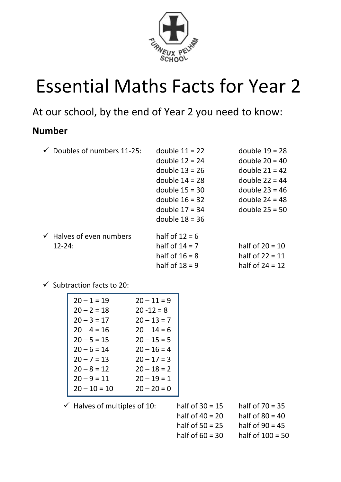

# Essential Maths Facts for Year 2

At our school, by the end of Year 2 you need to know:

#### **Number**

|  | Doubles of numbers 11-25:           | double $11 = 22$ | double $19 = 28$  |
|--|-------------------------------------|------------------|-------------------|
|  |                                     | double $12 = 24$ | double $20 = 40$  |
|  |                                     | double $13 = 26$ | double $21 = 42$  |
|  |                                     | double $14 = 28$ | double $22 = 44$  |
|  |                                     | double $15 = 30$ | double $23 = 46$  |
|  |                                     | double $16 = 32$ | double $24 = 48$  |
|  |                                     | double $17 = 34$ | double $25 = 50$  |
|  |                                     | double $18 = 36$ |                   |
|  | $\checkmark$ Halves of even numbers | half of $12 = 6$ |                   |
|  | $12 - 24$ :                         | half of $14 = 7$ | half of $20 = 10$ |
|  |                                     | half of $16 = 8$ | half of $22 = 11$ |
|  |                                     | half of $18 = 9$ | half of $24 = 12$ |

 $\checkmark$  Subtraction facts to 20:

| $20 - 1 = 19$  | $20 - 11 = 9$ |
|----------------|---------------|
| $20 - 2 = 18$  | $20 - 12 = 8$ |
| $20 - 3 = 17$  | $20 - 13 = 7$ |
| $20 - 4 = 16$  | $20 - 14 = 6$ |
| $20 - 5 = 15$  | $20 - 15 = 5$ |
| $20 - 6 = 14$  | $20 - 16 = 4$ |
| $20 - 7 = 13$  | $20 - 17 = 3$ |
| $20 - 8 = 12$  | $20 - 18 = 2$ |
| $20 - 9 = 11$  | $20 - 19 = 1$ |
| $20 - 10 = 10$ | $20 - 20 = 0$ |

 $\checkmark$  Halves of multiples of 10: half of 30 = 15 half of 70 = 35 half of  $40 = 20$  half of  $80 = 40$ half of  $50 = 25$  half of  $90 = 45$ half of  $60 = 30$  half of  $100 = 50$